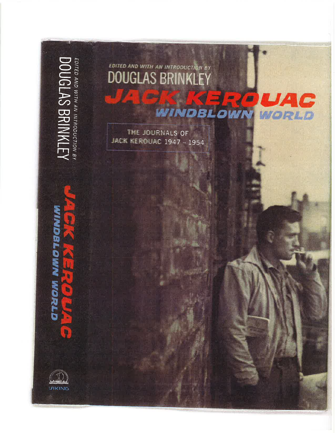**ATIMNING SHIPINICE** EDITED AND WITH AN INTRODUCTION BY<br>DOUGLAS BRINKLEY **PRIL** UAC œ æ WINDBLOWN WORLD THE JOURNALS OF JACK KEROUAC 1947 - 1954 **UTADBLOWN WORLD** h **VIKING**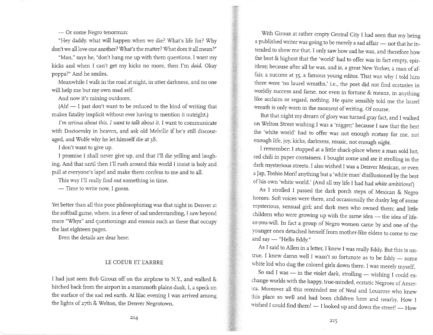Or some Negro tenorman:

--- Or some Negro tenorman:<br>"Hey daddy, what will happen when we die? What's life for? Why don't we all love one another? What's the matter? What does it all mean?"

"Man," says he, "don't hang me up with them questions. I want my kicks and when I can't get my kicks no more, then I'm daid. Okay poppa)" And he smiles.

Meanwhile I walk in the road at night, in utter darkness, and no one will help me but my own mad self.

And now it's raining outdoors.

(Ah! I just don't want to be reduced to the kind of writing that - makes fatality implicit without ever having to mention it outright.)

I'm serious about this. I want to talk about it. I want to communicate with Dostoevsky in heaven, and ask old Melville if he's still discouraged, and Wolfe why he let himself die at 38.

I don't want to give up.

I promise I shall never give up, and that I'll die yelling and laughing. And that until then I'll rush around this world I insist is holy and pull at everyone's lapel and make them confess to me and to all.

This way I'll really fìnd out something in time.

— Time to write now, I guess.

Yet better than ail this poor philosophizing was that night in Denver at the softball game, where, in a fever of sad understanding, I saw beyond mere "Whys" and questionings and ennuis such as these that occupy the last eighteen pages.

Even the details are dear here:

## LE COEUR ET LARBRE

I had just seen Bob Giroux off on the airplane to N.Y., and walked & hitched back from the airport in a mammoth plains dusk, I, a speck on the surface of the sad red earth. At lilac evening I was arrived among the lights of 27th & Welton, the Denver Negrotown.

With Giroux at rather empty Central City I had seen that my being a published writer was going to be merely a sad affair — not that he in-- tended to show me that. I only saw how sad he was, and therefore how the best & highest that the 'world' had to offer was in fact empty, spiritless; because after all he was, and is, a great New yorker, a man of affair, a success at 35, a famous young editor. That was why I told him there were 'no laurel wreaths,' i.e., the poet did not find ecstasies in worldly success and fame, nor even in fortune & means, in anything like acclaim or regard, nothing. He quite sensibly told me the laurel wreath is only worn in the moment of writing. Of course.

But that night my dream of glory was turned gray fact, and I walked on welton street wishing I was a'nigger;'because I saw that the best the 'white world' had to offer was not enough ecstasy for me, not enough life, joy, kicks, darkness, music, notenough night.

I remember: I stopped at a little shack-place where a man sold hot, red chili in paper containers. I bought some and ate it strolling in the dark mysterious streets. I also wished I was a Denver Mexican, or even <sup>a</sup>Jap, Toshio Mori! anything but a 'white man' disillusioned by the best of his own 'white world.' (And all my life I had had white ambitions!)

As I strolled I passed the dark porch steps of Mexican & Negro homes. Soft voices were there, and occasionally the dusky leg of some mysterious, sensual girl; and dark men who owned them; and little children who were growing up with the same idea — the idea of lifeas-you-will. In fact a group of Negro women came by and one of the younger ones detached herself from mother-like elders to come to me and say "Hello Eddy." --<br>...

As I said to Allen in a letter, I knew I was really Eddy. But this is untrue. I knew damn well I wasn't so fortunate as to be Eddy — some white kid who dug the colored girls down there. I was merely myself.

So sad I was — in the violet dark, strolling — wishing I could exexact was the dict violet dark, stroning -- wishing I could ex-<br>change worlds with the happy, true-minded, ecstatic Negroes of America. Moreover all this reminded me of Neal and Louanne who knew this place so well and had been children here and nearby. How <sup>I</sup> wished I could find them! — I looked up and down the street! —  $\operatorname{How}$